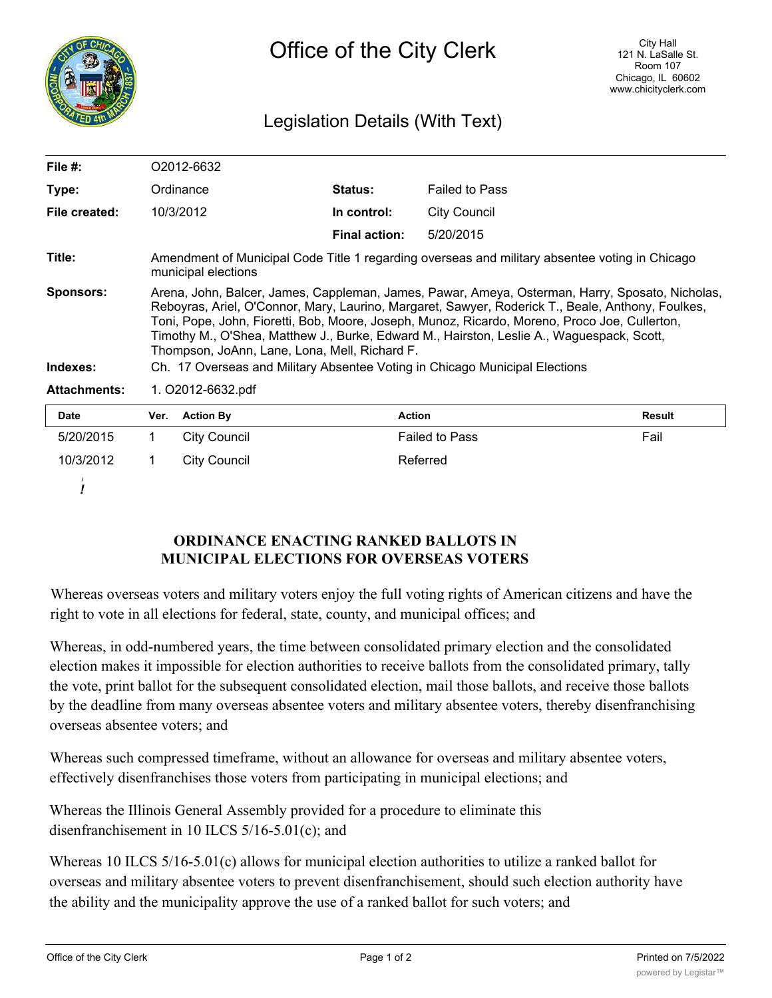

*!*

# Legislation Details (With Text)

| File #:                      |                                                                                                                                                                                                                                                                                                                                                                                                                                                                                                                                    | O2012-6632          |                      |                       |        |  |
|------------------------------|------------------------------------------------------------------------------------------------------------------------------------------------------------------------------------------------------------------------------------------------------------------------------------------------------------------------------------------------------------------------------------------------------------------------------------------------------------------------------------------------------------------------------------|---------------------|----------------------|-----------------------|--------|--|
| Type:                        |                                                                                                                                                                                                                                                                                                                                                                                                                                                                                                                                    | Ordinance           | <b>Status:</b>       | <b>Failed to Pass</b> |        |  |
| File created:                | 10/3/2012                                                                                                                                                                                                                                                                                                                                                                                                                                                                                                                          |                     | In control:          | <b>City Council</b>   |        |  |
|                              |                                                                                                                                                                                                                                                                                                                                                                                                                                                                                                                                    |                     | <b>Final action:</b> | 5/20/2015             |        |  |
| Title:                       | Amendment of Municipal Code Title 1 regarding overseas and military absentee voting in Chicago<br>municipal elections                                                                                                                                                                                                                                                                                                                                                                                                              |                     |                      |                       |        |  |
| <b>Sponsors:</b><br>Indexes: | Arena, John, Balcer, James, Cappleman, James, Pawar, Ameya, Osterman, Harry, Sposato, Nicholas,<br>Reboyras, Ariel, O'Connor, Mary, Laurino, Margaret, Sawyer, Roderick T., Beale, Anthony, Foulkes,<br>Toni, Pope, John, Fioretti, Bob, Moore, Joseph, Munoz, Ricardo, Moreno, Proco Joe, Cullerton,<br>Timothy M., O'Shea, Matthew J., Burke, Edward M., Hairston, Leslie A., Waguespack, Scott,<br>Thompson, JoAnn, Lane, Lona, Mell, Richard F.<br>Ch. 17 Overseas and Military Absentee Voting in Chicago Municipal Elections |                     |                      |                       |        |  |
| <b>Attachments:</b>          | 1. O2012-6632.pdf                                                                                                                                                                                                                                                                                                                                                                                                                                                                                                                  |                     |                      |                       |        |  |
| Date                         | Ver.                                                                                                                                                                                                                                                                                                                                                                                                                                                                                                                               | <b>Action By</b>    | Action               |                       | Result |  |
| 5/20/2015                    | 1                                                                                                                                                                                                                                                                                                                                                                                                                                                                                                                                  | <b>City Council</b> |                      | <b>Failed to Pass</b> | Fail   |  |
| 10/3/2012                    | 1                                                                                                                                                                                                                                                                                                                                                                                                                                                                                                                                  | <b>City Council</b> |                      | Referred              |        |  |
|                              |                                                                                                                                                                                                                                                                                                                                                                                                                                                                                                                                    |                     |                      |                       |        |  |

## **ORDINANCE ENACTING RANKED BALLOTS IN MUNICIPAL ELECTIONS FOR OVERSEAS VOTERS**

Whereas overseas voters and military voters enjoy the full voting rights of American citizens and have the right to vote in all elections for federal, state, county, and municipal offices; and

Whereas, in odd-numbered years, the time between consolidated primary election and the consolidated election makes it impossible for election authorities to receive ballots from the consolidated primary, tally the vote, print ballot for the subsequent consolidated election, mail those ballots, and receive those ballots by the deadline from many overseas absentee voters and military absentee voters, thereby disenfranchising overseas absentee voters; and

Whereas such compressed timeframe, without an allowance for overseas and military absentee voters, effectively disenfranchises those voters from participating in municipal elections; and

Whereas the Illinois General Assembly provided for a procedure to eliminate this disenfranchisement in 10 ILCS 5/16-5.01(c); and

Whereas 10 ILCS 5/16-5.01(c) allows for municipal election authorities to utilize a ranked ballot for overseas and military absentee voters to prevent disenfranchisement, should such election authority have the ability and the municipality approve the use of a ranked ballot for such voters; and